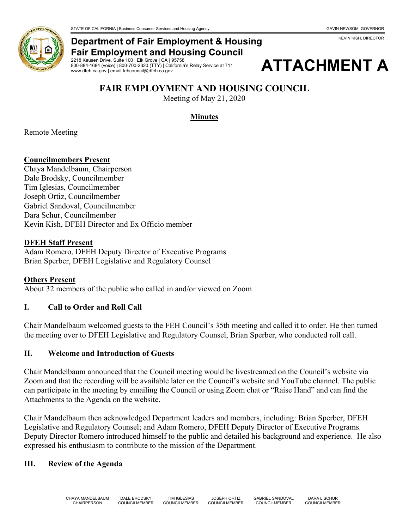KEVIN KISH, DIRECTOR



## **Department of Fair Employment & Housing Fair Employment and Housing Council**

2218 Kausen Drive, Suite 100 | Elk Grove | CA | 95758 800-884-1684 (voice) | 800-700-2320 (TTY) | California's Relay Service at 711 www.dfeh.ca.gov | email fehcouncil@dfeh.ca.gov



# **FAIR EMPLOYMENT AND HOUSING COUNCIL**

Meeting of May 21, 2020

## **Minutes**

Remote Meeting

### **Councilmembers Present**

Chaya Mandelbaum, Chairperson Dale Brodsky, Councilmember Tim Iglesias, Councilmember Joseph Ortiz, Councilmember Gabriel Sandoval, Councilmember Dara Schur, Councilmember Kevin Kish, DFEH Director and Ex Officio member

#### **DFEH Staff Present**

Adam Romero, DFEH Deputy Director of Executive Programs Brian Sperber, DFEH Legislative and Regulatory Counsel

### **Others Present**

About 32 members of the public who called in and/or viewed on Zoom

### **I. Call to Order and Roll Call**

Chair Mandelbaum welcomed guests to the FEH Council's 35th meeting and called it to order. He then turned the meeting over to DFEH Legislative and Regulatory Counsel, Brian Sperber, who conducted roll call.

### **II. Welcome and Introduction of Guests**

Chair Mandelbaum announced that the Council meeting would be livestreamed on the Council's website via Zoom and that the recording will be available later on the Council's website and YouTube channel. The public can participate in the meeting by emailing the Council or using Zoom chat or "Raise Hand" and can find the Attachments to the Agenda on the website.

Chair Mandelbaum then acknowledged Department leaders and members, including: Brian Sperber, DFEH Legislative and Regulatory Counsel; and Adam Romero, DFEH Deputy Director of Executive Programs. Deputy Director Romero introduced himself to the public and detailed his background and experience. He also expressed his enthusiasm to contribute to the mission of the Department.

### **III. Review of the Agenda**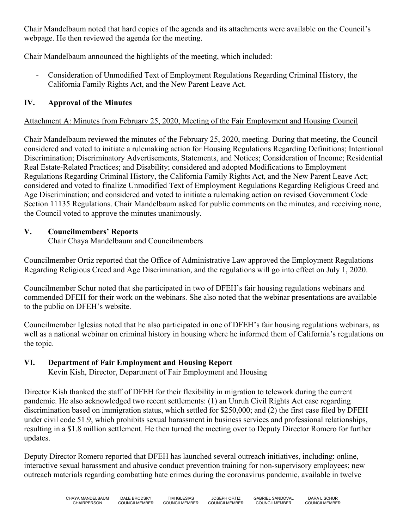Chair Mandelbaum noted that hard copies of the agenda and its attachments were available on the Council's webpage. He then reviewed the agenda for the meeting.

Chair Mandelbaum announced the highlights of the meeting, which included:

- Consideration of Unmodified Text of Employment Regulations Regarding Criminal History, the California Family Rights Act, and the New Parent Leave Act.

# **IV. Approval of the Minutes**

# Attachment A: Minutes from February 25, 2020, Meeting of the Fair Employment and Housing Council

Chair Mandelbaum reviewed the minutes of the February 25, 2020, meeting. During that meeting, the Council considered and voted to initiate a rulemaking action for Housing Regulations Regarding Definitions; Intentional Discrimination; Discriminatory Advertisements, Statements, and Notices; Consideration of Income; Residential Real Estate-Related Practices; and Disability; considered and adopted Modifications to Employment Regulations Regarding Criminal History, the California Family Rights Act, and the New Parent Leave Act; considered and voted to finalize Unmodified Text of Employment Regulations Regarding Religious Creed and Age Discrimination; and considered and voted to initiate a rulemaking action on revised Government Code Section 11135 Regulations. Chair Mandelbaum asked for public comments on the minutes, and receiving none, the Council voted to approve the minutes unanimously.

# **V. Councilmembers' Reports**

Chair Chaya Mandelbaum and Councilmembers

Councilmember Ortiz reported that the Office of Administrative Law approved the Employment Regulations Regarding Religious Creed and Age Discrimination, and the regulations will go into effect on July 1, 2020.

Councilmember Schur noted that she participated in two of DFEH's fair housing regulations webinars and commended DFEH for their work on the webinars. She also noted that the webinar presentations are available to the public on DFEH's website.

Councilmember Iglesias noted that he also participated in one of DFEH's fair housing regulations webinars, as well as a national webinar on criminal history in housing where he informed them of California's regulations on the topic.

# **VI. Department of Fair Employment and Housing Report**

Kevin Kish, Director, Department of Fair Employment and Housing

Director Kish thanked the staff of DFEH for their flexibility in migration to telework during the current pandemic. He also acknowledged two recent settlements: (1) an Unruh Civil Rights Act case regarding discrimination based on immigration status, which settled for \$250,000; and (2) the first case filed by DFEH under civil code 51.9, which prohibits sexual harassment in business services and professional relationships, resulting in a \$1.8 million settlement. He then turned the meeting over to Deputy Director Romero for further updates.

Deputy Director Romero reported that DFEH has launched several outreach initiatives, including: online, interactive sexual harassment and abusive conduct prevention training for non-supervisory employees; new outreach materials regarding combatting hate crimes during the coronavirus pandemic, available in twelve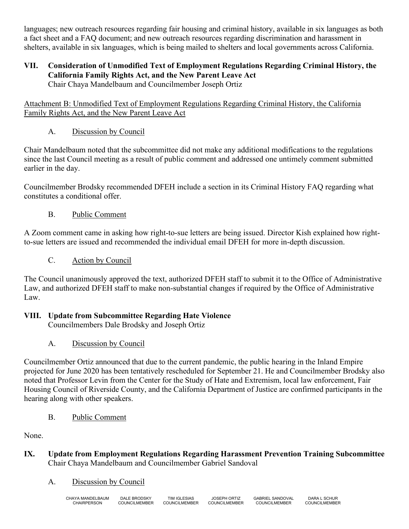languages; new outreach resources regarding fair housing and criminal history, available in six languages as both a fact sheet and a FAQ document; and new outreach resources regarding discrimination and harassment in shelters, available in six languages, which is being mailed to shelters and local governments across California.

### **VII. Consideration of Unmodified Text of Employment Regulations Regarding Criminal History, the California Family Rights Act, and the New Parent Leave Act** Chair Chaya Mandelbaum and Councilmember Joseph Ortiz

Attachment B: Unmodified Text of Employment Regulations Regarding Criminal History, the California Family Rights Act, and the New Parent Leave Act

# A. Discussion by Council

Chair Mandelbaum noted that the subcommittee did not make any additional modifications to the regulations since the last Council meeting as a result of public comment and addressed one untimely comment submitted earlier in the day.

Councilmember Brodsky recommended DFEH include a section in its Criminal History FAQ regarding what constitutes a conditional offer.

# B. Public Comment

A Zoom comment came in asking how right-to-sue letters are being issued. Director Kish explained how rightto-sue letters are issued and recommended the individual email DFEH for more in-depth discussion.

C. Action by Council

The Council unanimously approved the text, authorized DFEH staff to submit it to the Office of Administrative Law, and authorized DFEH staff to make non-substantial changes if required by the Office of Administrative Law.

# **VIII. Update from Subcommittee Regarding Hate Violence**

Councilmembers Dale Brodsky and Joseph Ortiz

A. Discussion by Council

Councilmember Ortiz announced that due to the current pandemic, the public hearing in the Inland Empire projected for June 2020 has been tentatively rescheduled for September 21. He and Councilmember Brodsky also noted that Professor Levin from the Center for the Study of Hate and Extremism, local law enforcement, Fair Housing Council of Riverside County, and the California Department of Justice are confirmed participants in the hearing along with other speakers.

# B. Public Comment

None.

**IX. Update from Employment Regulations Regarding Harassment Prevention Training Subcommittee** Chair Chaya Mandelbaum and Councilmember Gabriel Sandoval

## A. Discussion by Council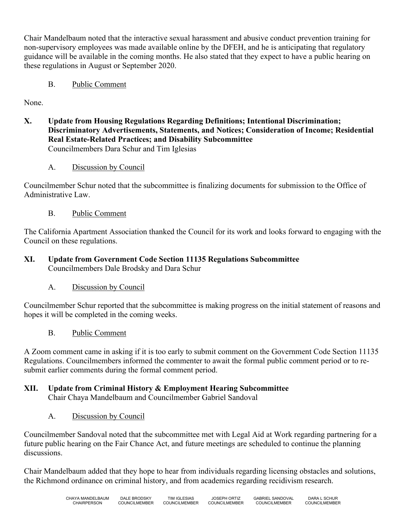Chair Mandelbaum noted that the interactive sexual harassment and abusive conduct prevention training for non-supervisory employees was made available online by the DFEH, and he is anticipating that regulatory guidance will be available in the coming months. He also stated that they expect to have a public hearing on these regulations in August or September 2020.

B. Public Comment

None.

- **X. Update from Housing Regulations Regarding Definitions; Intentional Discrimination; Discriminatory Advertisements, Statements, and Notices; Consideration of Income; Residential Real Estate-Related Practices; and Disability Subcommittee** Councilmembers Dara Schur and Tim Iglesias
	- A. Discussion by Council

Councilmember Schur noted that the subcommittee is finalizing documents for submission to the Office of Administrative Law.

B. Public Comment

The California Apartment Association thanked the Council for its work and looks forward to engaging with the Council on these regulations.

- **XI. Update from Government Code Section 11135 Regulations Subcommittee** Councilmembers Dale Brodsky and Dara Schur
	- A. Discussion by Council

Councilmember Schur reported that the subcommittee is making progress on the initial statement of reasons and hopes it will be completed in the coming weeks.

B. Public Comment

A Zoom comment came in asking if it is too early to submit comment on the Government Code Section 11135 Regulations. Councilmembers informed the commenter to await the formal public comment period or to resubmit earlier comments during the formal comment period.

# **XII. Update from Criminal History & Employment Hearing Subcommittee**

Chair Chaya Mandelbaum and Councilmember Gabriel Sandoval

A. Discussion by Council

Councilmember Sandoval noted that the subcommittee met with Legal Aid at Work regarding partnering for a future public hearing on the Fair Chance Act, and future meetings are scheduled to continue the planning discussions.

Chair Mandelbaum added that they hope to hear from individuals regarding licensing obstacles and solutions, the Richmond ordinance on criminal history, and from academics regarding recidivism research.